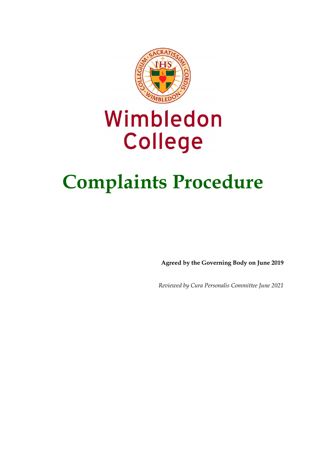

# Wimbledon College

# **Complaints Procedure**

**Agreed by the Governing Body on June 2019**

*Reviewed by Cura Personalis Committee June 2021*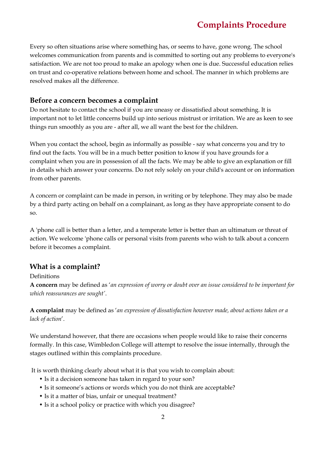Every so often situations arise where something has, or seems to have, gone wrong. The school welcomes communication from parents and is committed to sorting out any problems to everyone's satisfaction. We are not too proud to make an apology when one is due. Successful education relies on trust and co-operative relations between home and school. The manner in which problems are resolved makes all the difference.

#### **Before a concern becomes a complaint**

Do not hesitate to contact the school if you are uneasy or dissatisfied about something. It is important not to let little concerns build up into serious mistrust or irritation. We are as keen to see things run smoothly as you are - after all, we all want the best for the children.

When you contact the school, begin as informally as possible - say what concerns you and try to find out the facts. You will be in a much better position to know if you have grounds for a complaint when you are in possession of all the facts. We may be able to give an explanation or fill in details which answer your concerns. Do not rely solely on your child's account or on information from other parents.

A concern or complaint can be made in person, in writing or by telephone. They may also be made by a third party acting on behalf on a complainant, as long as they have appropriate consent to do so.

A 'phone call is better than a letter, and a temperate letter is better than an ultimatum or threat of action. We welcome 'phone calls or personal visits from parents who wish to talk about a concern before it becomes a complaint.

#### **What is a complaint?**

#### Definitions

**A concern** may be defined as '*an expression of worry or doubt over an issue considered to be important for which reassurances are sought'*.

**A complaint** may be defined as '*an expression of dissatisfaction however made, about actions taken or a lack of action*'.

We understand however, that there are occasions when people would like to raise their concerns formally. In this case, Wimbledon College will attempt to resolve the issue internally, through the stages outlined within this complaints procedure.

It is worth thinking clearly about what it is that you wish to complain about:

- Is it a decision someone has taken in regard to your son?
- Is it someone's actions or words which you do not think are acceptable?
- Is it a matter of bias, unfair or unequal treatment?
- Is it a school policy or practice with which you disagree?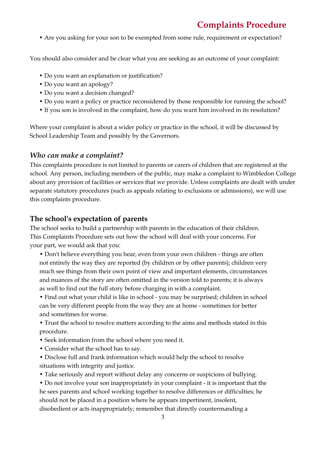• Are you asking for your son to be exempted from some rule, requirement or expectation?

You should also consider and be clear what you are seeking as an outcome of your complaint:

- Do you want an explanation or justification?
- Do you want an apology?
- Do you want a decision changed?
- Do you want a policy or practice reconsidered by those responsible for running the school?
- If you son is involved in the complaint, how do you want him involved in its resolution?

Where your complaint is about a wider policy or practice in the school, it will be discussed by School Leadership Team and possibly by the Governors.

#### *Who can make a complaint?*

This complaints procedure is not limited to parents or carers of children that are registered at the school. Any person, including members of the public, may make a complaint to Wimbledon College about any provision of facilities or services that we provide. Unless complaints are dealt with under separate statutory procedures (such as appeals relating to exclusions or admissions), we will use this complaints procedure.

#### **The school's expectation of parents**

The school seeks to build a partnership with parents in the education of their children. This Complaints Procedure sets out how the school will deal with your concerns. For your part, we would ask that you:

• Don't believe everything you hear, even from your own children - things are often not entirely the way they are reported (by children or by other parents); children very much see things from their own point of view and important elements, circumstances and nuances of the story are often omitted in the version told to parents; it is always as well to find out the full story before charging in with a complaint.

• Find out what your child is like in school - you may be surprised; children in school can be very different people from the way they are at home - sometimes for better and sometimes for worse.

• Trust the school to resolve matters according to the aims and methods stated in this procedure.

- Seek information from the school where you need it.
- Consider what the school has to say.

• Disclose full and frank information which would help the school to resolve situations with integrity and justice.

• Take seriously and report without delay any concerns or suspicions of bullying.

• Do not involve your son inappropriately in your complaint - it is important that the he sees parents and school working together to resolve differences or difficulties; he should not be placed in a position where he appears impertinent, insolent, disobedient or acts inappropriately; remember that directly countermanding a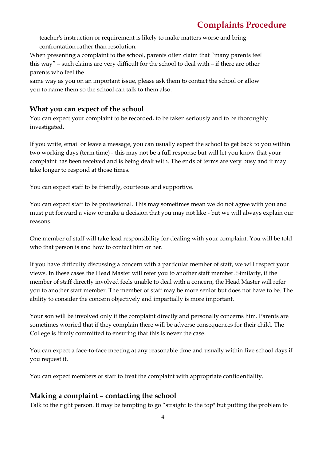teacher's instruction or requirement is likely to make matters worse and bring confrontation rather than resolution.

When presenting a complaint to the school, parents often claim that "many parents feel this way" – such claims are very difficult for the school to deal with – if there are other parents who feel the

same way as you on an important issue, please ask them to contact the school or allow you to name them so the school can talk to them also.

## **What you can expect of the school**

You can expect your complaint to be recorded, to be taken seriously and to be thoroughly investigated.

If you write, email or leave a message, you can usually expect the school to get back to you within two working days (term time) - this may not be a full response but will let you know that your complaint has been received and is being dealt with. The ends of terms are very busy and it may take longer to respond at those times.

You can expect staff to be friendly, courteous and supportive.

You can expect staff to be professional. This may sometimes mean we do not agree with you and must put forward a view or make a decision that you may not like - but we will always explain our reasons.

One member of staff will take lead responsibility for dealing with your complaint. You will be told who that person is and how to contact him or her.

If you have difficulty discussing a concern with a particular member of staff, we will respect your views. In these cases the Head Master will refer you to another staff member. Similarly, if the member of staff directly involved feels unable to deal with a concern, the Head Master will refer you to another staff member. The member of staff may be more senior but does not have to be. The ability to consider the concern objectively and impartially is more important.

Your son will be involved only if the complaint directly and personally concerns him. Parents are sometimes worried that if they complain there will be adverse consequences for their child. The College is firmly committed to ensuring that this is never the case.

You can expect a face-to-face meeting at any reasonable time and usually within five school days if you request it.

You can expect members of staff to treat the complaint with appropriate confidentiality.

## **Making a complaint – contacting the school**

Talk to the right person. It may be tempting to go "straight to the top" but putting the problem to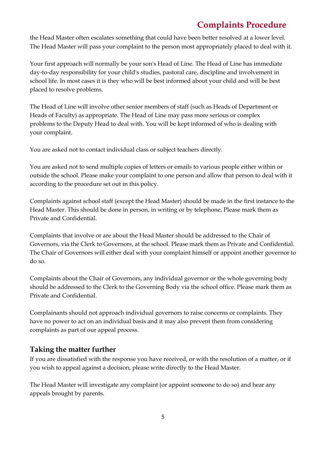the Head Master often escalates something that could have been better resolved at a lower level. The Head Master will pass your complaint to the person most appropriately placed to deal with it.

Your first approach will normally be your son's Head of Line. The Head of Line has immediate day-to-day responsibility for your child's studies, pastoral care, discipline and involvement in school life. In most cases it is they who will be best informed about your child and will be best placed to resolve problems.

The Head of Line will involve other senior members of staff (such as Heads of Department or Heads of Faculty) as appropriate. The Head of Line may pass more serious or complex problems to the Deputy Head to deal with. You will be kept informed of who is dealing with your complaint.

You are asked not to contact individual class or subject teachers directly.

You are asked not to send multiple copies of letters or emails to various people either within or outside the school. Please make your complaint to one person and allow that person to deal with it according to the procedure set out in this policy.

Complaints against school staff (except the Head Master) should be made in the first instance to the Head Master. This should be done in person, in writing or by telephone*.* Please mark them as Private and Confidential.

Complaints that involve or are about the Head Master should be addressed to the Chair of Governors, via the Clerk to Governors, at the school. Please mark them as Private and Confidential. The Chair of Governors will either deal with your complaint himself or appoint another governor to do so.

Complaints about the Chair of Governors, any individual governor or the whole governing body should be addressed to the Clerk to the Governing Body via the school office. Please mark them as Private and Confidential.

Complainants should not approach individual governors to raise concerns or complaints. They have no power to act on an individual basis and it may also prevent them from considering complaints as part of our appeal process.

#### **Taking the matter further**

If you are dissatisfied with the response you have received, or with the resolution of a matter, or if you wish to appeal against a decision, please write directly to the Head Master.

The Head Master will investigate any complaint (or appoint someone to do so) and hear any appeals brought by parents.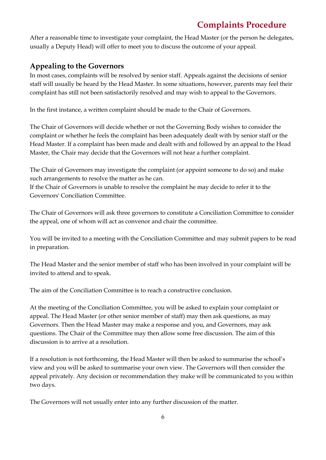After a reasonable time to investigate your complaint, the Head Master (or the person he delegates, usually a Deputy Head) will offer to meet you to discuss the outcome of your appeal.

## **Appealing to the Governors**

In most cases, complaints will be resolved by senior staff. Appeals against the decisions of senior staff will usually be heard by the Head Master. In some situations, however, parents may feel their complaint has still not been satisfactorily resolved and may wish to appeal to the Governors.

In the first instance, a written complaint should be made to the Chair of Governors.

The Chair of Governors will decide whether or not the Governing Body wishes to consider the complaint or whether he feels the complaint has been adequately dealt with by senior staff or the Head Master. If a complaint has been made and dealt with and followed by an appeal to the Head Master, the Chair may decide that the Governors will not hear a further complaint.

The Chair of Governors may investigate the complaint (or appoint someone to do so) and make such arrangements to resolve the matter as he can.

If the Chair of Governors is unable to resolve the complaint he may decide to refer it to the Governors' Conciliation Committee.

The Chair of Governors will ask three governors to constitute a Conciliation Committee to consider the appeal, one of whom will act as convenor and chair the committee.

You will be invited to a meeting with the Conciliation Committee and may submit papers to be read in preparation.

The Head Master and the senior member of staff who has been involved in your complaint will be invited to attend and to speak.

The aim of the Conciliation Committee is to reach a constructive conclusion.

At the meeting of the Conciliation Committee, you will be asked to explain your complaint or appeal. The Head Master (or other senior member of staff) may then ask questions, as may Governors. Then the Head Master may make a response and you, and Governors, may ask questions. The Chair of the Committee may then allow some free discussion. The aim of this discussion is to arrive at a resolution.

If a resolution is not forthcoming, the Head Master will then be asked to summarise the school's view and you will be asked to summarise your own view. The Governors will then consider the appeal privately. Any decision or recommendation they make will be communicated to you within two days.

The Governors will not usually enter into any further discussion of the matter.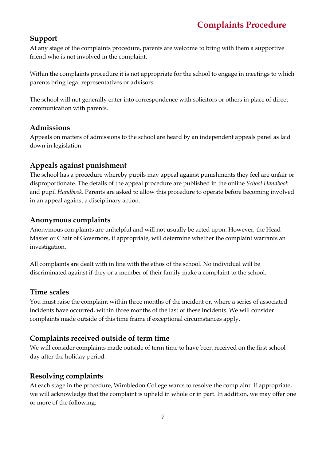### **Support**

At any stage of the complaints procedure, parents are welcome to bring with them a supportive friend who is not involved in the complaint.

Within the complaints procedure it is not appropriate for the school to engage in meetings to which parents bring legal representatives or advisors.

The school will not generally enter into correspondence with solicitors or others in place of direct communication with parents.

#### **Admissions**

Appeals on matters of admissions to the school are heard by an independent appeals panel as laid down in legislation.

### **Appeals against punishment**

The school has a procedure whereby pupils may appeal against punishments they feel are unfair or disproportionate. The details of the appeal procedure are published in the online *School Handbook*  and pupil *Handbook*. Parents are asked to allow this procedure to operate before becoming involved in an appeal against a disciplinary action.

#### **Anonymous complaints**

Anonymous complaints are unhelpful and will not usually be acted upon. However, the Head Master or Chair of Governors, if appropriate, will determine whether the complaint warrants an investigation.

All complaints are dealt with in line with the ethos of the school. No individual will be discriminated against if they or a member of their family make a complaint to the school.

#### **Time scales**

You must raise the complaint within three months of the incident or, where a series of associated incidents have occurred, within three months of the last of these incidents. We will consider complaints made outside of this time frame if exceptional circumstances apply.

## **Complaints received outside of term time**

We will consider complaints made outside of term time to have been received on the first school day after the holiday period.

## **Resolving complaints**

At each stage in the procedure, Wimbledon College wants to resolve the complaint. If appropriate, we will acknowledge that the complaint is upheld in whole or in part. In addition, we may offer one or more of the following: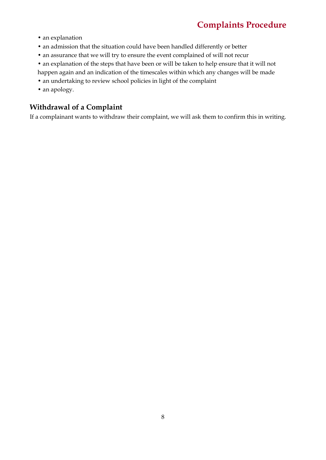- an explanation
- an admission that the situation could have been handled differently or better
- an assurance that we will try to ensure the event complained of will not recur
- an explanation of the steps that have been or will be taken to help ensure that it will not happen again and an indication of the timescales within which any changes will be made
- an undertaking to review school policies in light of the complaint
- an apology.

## **Withdrawal of a Complaint**

If a complainant wants to withdraw their complaint, we will ask them to confirm this in writing.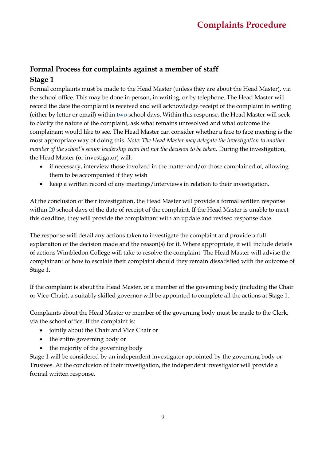## **Formal Process for complaints against a member of staff Stage 1**

Formal complaints must be made to the Head Master (unless they are about the Head Master), via the school office. This may be done in person, in writing, or by telephone. The Head Master will record the date the complaint is received and will acknowledge receipt of the complaint in writing (either by letter or email) within two school days. Within this response, the Head Master will seek to clarify the nature of the complaint, ask what remains unresolved and what outcome the complainant would like to see. The Head Master can consider whether a face to face meeting is the most appropriate way of doing this. *Note: The Head Master may delegate the investigation to another member of the school's senior leadership team but not the decision to be taken.* During the investigation, the Head Master (or investigator) will:

- if necessary, interview those involved in the matter and/or those complained of, allowing them to be accompanied if they wish
- keep a written record of any meetings/interviews in relation to their investigation.

At the conclusion of their investigation, the Head Master will provide a formal written response within 20 school days of the date of receipt of the complaint. If the Head Master is unable to meet this deadline, they will provide the complainant with an update and revised response date.

The response will detail any actions taken to investigate the complaint and provide a full explanation of the decision made and the reason(s) for it. Where appropriate, it will include details of actions Wimbledon College will take to resolve the complaint. The Head Master will advise the complainant of how to escalate their complaint should they remain dissatisfied with the outcome of Stage 1.

If the complaint is about the Head Master, or a member of the governing body (including the Chair or Vice-Chair), a suitably skilled governor will be appointed to complete all the actions at Stage 1.

Complaints about the Head Master or member of the governing body must be made to the Clerk, via the school office. If the complaint is:

- jointly about the Chair and Vice Chair or
- the entire governing body or
- the majority of the governing body

Stage 1 will be considered by an independent investigator appointed by the governing body or Trustees. At the conclusion of their investigation, the independent investigator will provide a formal written response.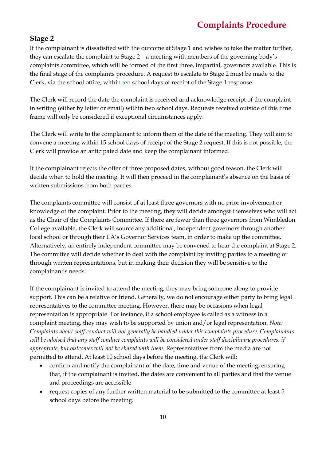#### **Stage 2**

If the complainant is dissatisfied with the outcome at Stage 1 and wishes to take the matter further, they can escalate the complaint to Stage 2 – a meeting with members of the governing body's complaints committee, which will be formed of the first three, impartial, governors available. This is the final stage of the complaints procedure. A request to escalate to Stage 2 must be made to the Clerk, via the school office, within ten school days of receipt of the Stage 1 response.

The Clerk will record the date the complaint is received and acknowledge receipt of the complaint in writing (either by letter or email) within two school days. Requests received outside of this time frame will only be considered if exceptional circumstances apply.

The Clerk will write to the complainant to inform them of the date of the meeting. They will aim to convene a meeting within 15 school days of receipt of the Stage 2 request. If this is not possible, the Clerk will provide an anticipated date and keep the complainant informed.

If the complainant rejects the offer of three proposed dates, without good reason, the Clerk will decide when to hold the meeting. It will then proceed in the complainant's absence on the basis of written submissions from both parties.

The complaints committee will consist of at least three governors with no prior involvement or knowledge of the complaint. Prior to the meeting, they will decide amongst themselves who will act as the Chair of the Complaints Committee. If there are fewer than three governors from Wimbledon College available, the Clerk will source any additional, independent governors through another local school or through their LA's Governor Services team, in order to make up the committee. Alternatively, an entirely independent committee may be convened to hear the complaint at Stage 2. The committee will decide whether to deal with the complaint by inviting parties to a meeting or through written representations, but in making their decision they will be sensitive to the complainant's needs.

If the complainant is invited to attend the meeting, they may bring someone along to provide support. This can be a relative or friend. Generally, we do not encourage either party to bring legal representatives to the committee meeting. However, there may be occasions when legal representation is appropriate. For instance, if a school employee is called as a witness in a complaint meeting, they may wish to be supported by union and/or legal representation. *Note: Complaints about staff conduct will not generally be handled under this complaints procedure. Complainants will be advised that any staff conduct complaints will be considered under staff disciplinary procedures, if appropriate, but outcomes will not be shared with them.* Representatives from the media are not permitted to attend. At least 10 school days before the meeting, the Clerk will:

- confirm and notify the complainant of the date, time and venue of the meeting, ensuring that, if the complainant is invited, the dates are convenient to all parties and that the venue and proceedings are accessible
- request copies of any further written material to be submitted to the committee at least 5 school days before the meeting.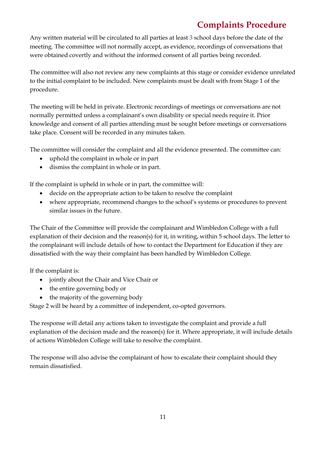Any written material will be circulated to all parties at least 3 school days before the date of the meeting. The committee will not normally accept, as evidence, recordings of conversations that were obtained covertly and without the informed consent of all parties being recorded.

The committee will also not review any new complaints at this stage or consider evidence unrelated to the initial complaint to be included. New complaints must be dealt with from Stage 1 of the procedure.

The meeting will be held in private. Electronic recordings of meetings or conversations are not normally permitted unless a complainant's own disability or special needs require it. Prior knowledge and consent of all parties attending must be sought before meetings or conversations take place. Consent will be recorded in any minutes taken.

The committee will consider the complaint and all the evidence presented. The committee can:

- uphold the complaint in whole or in part
- dismiss the complaint in whole or in part.

If the complaint is upheld in whole or in part, the committee will:

- decide on the appropriate action to be taken to resolve the complaint
- where appropriate, recommend changes to the school's systems or procedures to prevent similar issues in the future.

The Chair of the Committee will provide the complainant and Wimbledon College with a full explanation of their decision and the reason(s) for it, in writing, within 5 school days. The letter to the complainant will include details of how to contact the Department for Education if they are dissatisfied with the way their complaint has been handled by Wimbledon College.

If the complaint is:

- jointly about the Chair and Vice Chair or
- the entire governing body or
- the majority of the governing body

Stage 2 will be heard by a committee of independent, co-opted governors.

The response will detail any actions taken to investigate the complaint and provide a full explanation of the decision made and the reason(s) for it. Where appropriate, it will include details of actions Wimbledon College will take to resolve the complaint.

The response will also advise the complainant of how to escalate their complaint should they remain dissatisfied.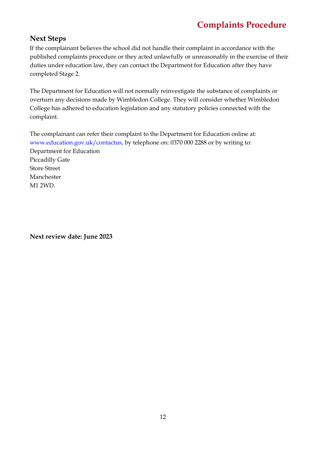## **Next Steps**

If the complainant believes the school did not handle their complaint in accordance with the published complaints procedure or they acted unlawfully or unreasonably in the exercise of their duties under education law, they can contact the Department for Education after they have completed Stage 2.

The Department for Education will not normally reinvestigate the substance of complaints or overturn any decisions made by Wimbledon College. They will consider whether Wimbledon College has adhered to education legislation and any statutory policies connected with the complaint.

The complainant can refer their complaint to the Department for Education online at: www.education.gov.uk/contactus, by telephone on: 0370 000 2288 or by writing to: Department for Education Piccadilly Gate Store Street Manchester M1 2WD.

**Next review date: June 2023**